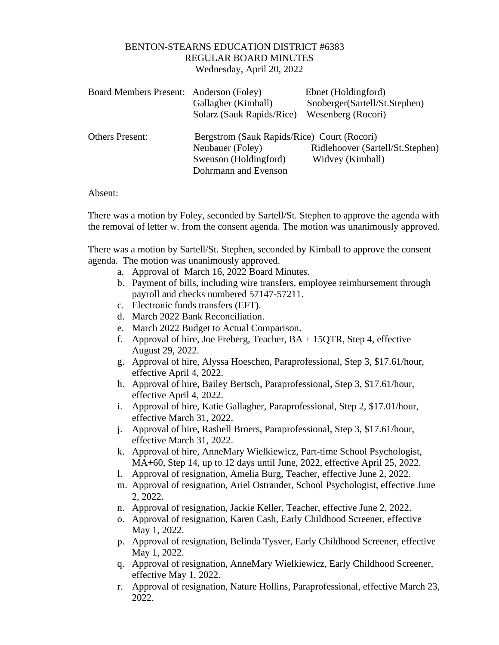## BENTON-STEARNS EDUCATION DISTRICT #6383 REGULAR BOARD MINUTES Wednesday, April 20, 2022

| Board Members Present: Anderson (Foley) |                                             | Ebnet (Holdingford)              |
|-----------------------------------------|---------------------------------------------|----------------------------------|
|                                         | Gallagher (Kimball)                         | Snoberger(Sartell/St.Stephen)    |
|                                         | Solarz (Sauk Rapids/Rice)                   | Wesenberg (Rocori)               |
| <b>Others Present:</b>                  | Bergstrom (Sauk Rapids/Rice) Court (Rocori) |                                  |
|                                         | Neubauer (Foley)                            | Ridlehoover (Sartell/St.Stephen) |
|                                         | Swenson (Holdingford)                       | Widvey (Kimball)                 |
|                                         | Dohrmann and Evenson                        |                                  |
|                                         |                                             |                                  |

Absent:

There was a motion by Foley, seconded by Sartell/St. Stephen to approve the agenda with the removal of letter w. from the consent agenda. The motion was unanimously approved.

There was a motion by Sartell/St. Stephen, seconded by Kimball to approve the consent agenda. The motion was unanimously approved.

- a. Approval of March 16, 2022 Board Minutes.
- b. Payment of bills, including wire transfers, employee reimbursement through payroll and checks numbered 57147-57211.
- c. Electronic funds transfers (EFT).
- d. March 2022 Bank Reconciliation.
- e. March 2022 Budget to Actual Comparison.
- f. Approval of hire, Joe Freberg, Teacher,  $BA + 15QTR$ , Step 4, effective August 29, 2022.
- g. Approval of hire, Alyssa Hoeschen, Paraprofessional, Step 3, \$17.61/hour, effective April 4, 2022.
- h. Approval of hire, Bailey Bertsch, Paraprofessional, Step 3, \$17.61/hour, effective April 4, 2022.
- i. Approval of hire, Katie Gallagher, Paraprofessional, Step 2, \$17.01/hour, effective March 31, 2022.
- j. Approval of hire, Rashell Broers, Paraprofessional, Step 3, \$17.61/hour, effective March 31, 2022.
- k. Approval of hire, AnneMary Wielkiewicz, Part-time School Psychologist, MA+60, Step 14, up to 12 days until June, 2022, effective April 25, 2022.
- l. Approval of resignation, Amelia Burg, Teacher, effective June 2, 2022.
- m. Approval of resignation, Ariel Ostrander, School Psychologist, effective June 2, 2022.
- n. Approval of resignation, Jackie Keller, Teacher, effective June 2, 2022.
- o. Approval of resignation, Karen Cash, Early Childhood Screener, effective May 1, 2022.
- p. Approval of resignation, Belinda Tysver, Early Childhood Screener, effective May 1, 2022.
- q. Approval of resignation, AnneMary Wielkiewicz, Early Childhood Screener, effective May 1, 2022.
- r. Approval of resignation, Nature Hollins, Paraprofessional, effective March 23, 2022.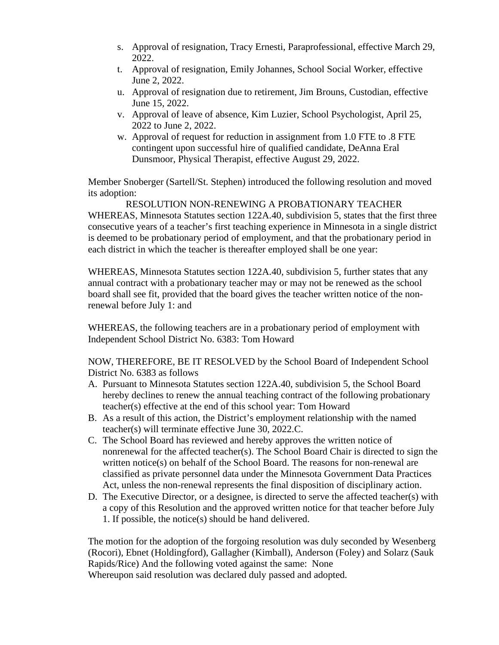- s. Approval of resignation, Tracy Ernesti, Paraprofessional, effective March 29, 2022.
- t. Approval of resignation, Emily Johannes, School Social Worker, effective June 2, 2022.
- u. Approval of resignation due to retirement, Jim Brouns, Custodian, effective June 15, 2022.
- v. Approval of leave of absence, Kim Luzier, School Psychologist, April 25, 2022 to June 2, 2022.
- w. Approval of request for reduction in assignment from 1.0 FTE to .8 FTE contingent upon successful hire of qualified candidate, DeAnna Eral Dunsmoor, Physical Therapist, effective August 29, 2022.

Member Snoberger (Sartell/St. Stephen) introduced the following resolution and moved its adoption:

RESOLUTION NON-RENEWING A PROBATIONARY TEACHER WHEREAS, Minnesota Statutes section 122A.40, subdivision 5, states that the first three consecutive years of a teacher's first teaching experience in Minnesota in a single district is deemed to be probationary period of employment, and that the probationary period in each district in which the teacher is thereafter employed shall be one year:

WHEREAS, Minnesota Statutes section 122A.40, subdivision 5, further states that any annual contract with a probationary teacher may or may not be renewed as the school board shall see fit, provided that the board gives the teacher written notice of the nonrenewal before July 1: and

WHEREAS, the following teachers are in a probationary period of employment with Independent School District No. 6383: Tom Howard

NOW, THEREFORE, BE IT RESOLVED by the School Board of Independent School District No. 6383 as follows

- A. Pursuant to Minnesota Statutes section 122A.40, subdivision 5, the School Board hereby declines to renew the annual teaching contract of the following probationary teacher(s) effective at the end of this school year: Tom Howard
- B. As a result of this action, the District's employment relationship with the named teacher(s) will terminate effective June 30, 2022.C.
- C. The School Board has reviewed and hereby approves the written notice of nonrenewal for the affected teacher(s). The School Board Chair is directed to sign the written notice(s) on behalf of the School Board. The reasons for non-renewal are classified as private personnel data under the Minnesota Government Data Practices Act, unless the non-renewal represents the final disposition of disciplinary action.
- D. The Executive Director, or a designee, is directed to serve the affected teacher(s) with a copy of this Resolution and the approved written notice for that teacher before July 1. If possible, the notice(s) should be hand delivered.

The motion for the adoption of the forgoing resolution was duly seconded by Wesenberg (Rocori), Ebnet (Holdingford), Gallagher (Kimball), Anderson (Foley) and Solarz (Sauk Rapids/Rice) And the following voted against the same: None

Whereupon said resolution was declared duly passed and adopted.